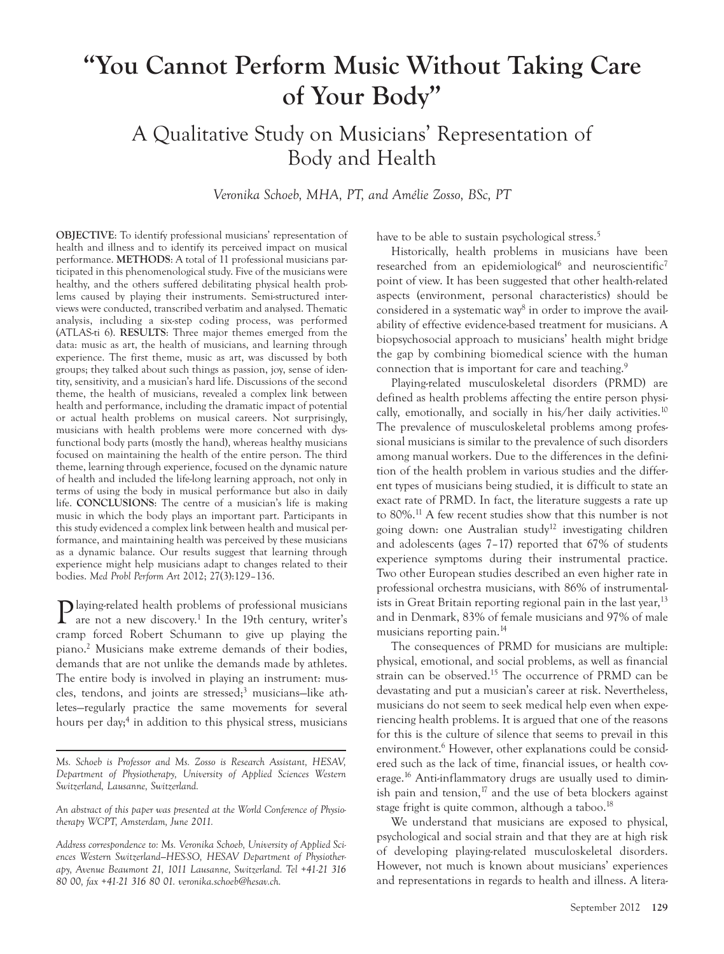# **"You Cannot Perform Music Without Taking Care of Your Body"**

A Qualitative Study on Musicians' Representation of Body and Health

*Veronika Schoeb, MHA, PT, and Amélie Zosso, BSc, PT*

**OBJECTIVE**: To identify professional musicians' representation of health and illness and to identify its perceived impact on musical performance. **METHODS**: A total of 11 professional musicians participated in this phenomenological study. Five of the musicians were healthy, and the others suffered debilitating physical health problems caused by playing their instruments. Semi-structured interviews were conducted, transcribed verbatim and analysed. Thematic analysis, including a six-step coding process, was performed (ATLAS-ti 6). **RESULTS**: Three major themes emerged from the data: music as art, the health of musicians, and learning through experience. The first theme, music as art, was discussed by both groups; they talked about such things as passion, joy, sense of identity, sensitivity, and a musician's hard life. Discussions of the second theme, the health of musicians, revealed a complex link between health and performance, including the dramatic impact of potential or actual health problems on musical careers. Not surprisingly, musicians with health problems were more concerned with dysfunctional body parts (mostly the hand), whereas healthy musicians focused on maintaining the health of the entire person. The third theme, learning through experience, focused on the dynamic nature of health and included the life-long learning approach, not only in terms of using the body in musical performance but also in daily life. **CONCLUSIONS**: The centre of a musician's life is making music in which the body plays an important part. Participants in this study evidenced a complex link between health and musical performance, and maintaining health was perceived by these musicians as a dynamic balance. Our results suggest that learning through experience might help musicians adapt to changes related to their bodies. *Med Probl Perform Art* 2012; 27(3):129–136.

Playing-related health problems of professional musicians are not a new discovery.<sup>1</sup> In the 19th century, writer's cramp forced Robert Schumann to give up playing the piano.2 Musicians make extreme demands of their bodies, demands that are not unlike the demands made by athletes. The entire body is involved in playing an instrument: muscles, tendons, and joints are stressed;3 musicians—like athletes—regularly practice the same movements for several hours per day;<sup>4</sup> in addition to this physical stress, musicians have to be able to sustain psychological stress.<sup>5</sup>

Historically, health problems in musicians have been researched from an epidemiological<sup>6</sup> and neuroscientific<sup>7</sup> point of view. It has been suggested that other health-related aspects (environment, personal characteristics) should be considered in a systematic way<sup>8</sup> in order to improve the availability of effective evidence-based treatment for musicians. A biopsychosocial approach to musicians' health might bridge the gap by combining biomedical science with the human connection that is important for care and teaching.<sup>9</sup>

Playing-related musculoskeletal disorders (PRMD) are defined as health problems affecting the entire person physically, emotionally, and socially in his/her daily activities.<sup>10</sup> The prevalence of musculoskeletal problems among professional musicians is similar to the prevalence of such disorders among manual workers. Due to the differences in the definition of the health problem in various studies and the different types of musicians being studied, it is difficult to state an exact rate of PRMD. In fact, the literature suggests a rate up to 80%.11 A few recent studies show that this number is not going down: one Australian study<sup>12</sup> investigating children and adolescents (ages 7–17) reported that 67% of students experience symptoms during their instrumental practice. Two other European studies described an even higher rate in professional orchestra musicians, with 86% of instrumentalists in Great Britain reporting regional pain in the last year,  $13$ and in Denmark, 83% of female musicians and 97% of male musicians reporting pain.<sup>14</sup>

The consequences of PRMD for musicians are multiple: physical, emotional, and social problems, as well as financial strain can be observed.<sup>15</sup> The occurrence of PRMD can be devastating and put a musician's career at risk. Nevertheless, musicians do not seem to seek medical help even when experiencing health problems. It is argued that one of the reasons for this is the culture of silence that seems to prevail in this environment.<sup>6</sup> However, other explanations could be considered such as the lack of time, financial issues, or health coverage.<sup>16</sup> Anti-inflammatory drugs are usually used to diminish pain and tension, $^{17}$  and the use of beta blockers against stage fright is quite common, although a taboo.<sup>18</sup>

We understand that musicians are exposed to physical, psychological and social strain and that they are at high risk of developing playing-related musculoskeletal disorders. However, not much is known about musicians' experiences and representations in regards to health and illness. A litera-

*Ms. Schoeb is Professor and Ms. Zosso is Research Assistant, HESAV, Department of Physiotherapy, University of Applied Sciences Western Switzerland, Lausanne, Switzerland.* 

*An abstract of this paper was presented at the World Conference of Physiotherapy WCPT, Amsterdam, June 2011.*

*Address correspondence to: Ms. Veronika Schoeb, University of Applied Sciences Western Switzerland—HES-SO, HESAV Department of Physiotherapy, Avenue Beaumont 21, 1011 Lausanne, Switzerland. Tel +41-21 316 80 00, fax +41-21 316 80 01. veronika.schoeb@hesav.ch.*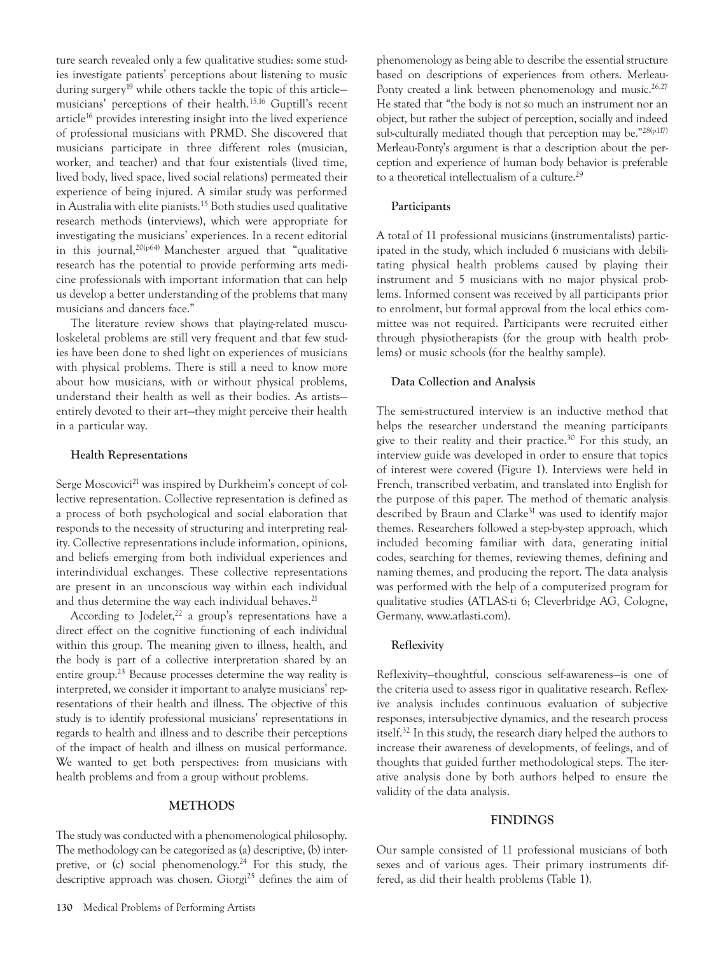ture search revealed only a few qualitative studies: some studies investigate patients' perceptions about listening to music during surgery<sup>19</sup> while others tackle the topic of this articlemusicians' perceptions of their health.15,16 Guptill's recent article<sup>16</sup> provides interesting insight into the lived experience of professional musicians with PRMD. She discovered that musicians participate in three different roles (musician, worker, and teacher) and that four existentials (lived time, lived body, lived space, lived social relations) permeated their experience of being injured. A similar study was performed in Australia with elite pianists.15 Both studies used qualitative research methods (interviews), which were appropriate for investigating the musicians' experiences. In a recent editorial in this journal,20(p64) Manchester argued that "qualitative research has the potential to provide performing arts medicine professionals with important information that can help us develop a better understanding of the problems that many musicians and dancers face."

The literature review shows that playing-related musculoskeletal problems are still very frequent and that few studies have been done to shed light on experiences of musicians with physical problems. There is still a need to know more about how musicians, with or without physical problems, understand their health as well as their bodies. As artists entirely devoted to their art—they might perceive their health in a particular way.

#### **Health Representations**

Serge Moscovici<sup>21</sup> was inspired by Durkheim's concept of collective representation. Collective representation is defined as a process of both psychological and social elaboration that responds to the necessity of structuring and interpreting reality. Collective representations include information, opinions, and beliefs emerging from both individual experiences and interindividual exchanges. These collective representations are present in an unconscious way within each individual and thus determine the way each individual behaves.<sup>21</sup>

According to Jodelet, $22$  a group's representations have a direct effect on the cognitive functioning of each individual within this group. The meaning given to illness, health, and the body is part of a collective interpretation shared by an entire group.<sup>23</sup> Because processes determine the way reality is interpreted, we consider it important to analyze musicians' representations of their health and illness. The objective of this study is to identify professional musicians' representations in regards to health and illness and to describe their perceptions of the impact of health and illness on musical performance. We wanted to get both perspectives: from musicians with health problems and from a group without problems.

## **METHODS**

The study was conducted with a phenomenological philosophy. The methodology can be categorized as (a) descriptive, (b) interpretive, or (c) social phenomenology.<sup>24</sup> For this study, the descriptive approach was chosen. Giorgi<sup>25</sup> defines the aim of

### **Participants**

A total of 11 professional musicians (instrumentalists) participated in the study, which included 6 musicians with debilitating physical health problems caused by playing their instrument and 5 musicians with no major physical problems. Informed consent was received by all participants prior to enrolment, but formal approval from the local ethics committee was not required. Participants were recruited either through physiotherapists (for the group with health problems) or music schools (for the healthy sample).

#### **Data Collection and Analysis**

The semi-structured interview is an inductive method that helps the researcher understand the meaning participants give to their reality and their practice.<sup>30</sup> For this study, an interview guide was developed in order to ensure that topics of interest were covered (Figure 1). Interviews were held in French, transcribed verbatim, and translated into English for the purpose of this paper. The method of thematic analysis described by Braun and Clarke<sup>31</sup> was used to identify major themes. Researchers followed a step-by-step approach, which included becoming familiar with data, generating initial codes, searching for themes, reviewing themes, defining and naming themes, and producing the report. The data analysis was performed with the help of a computerized program for qualitative studies (ATLAS-ti 6; Cleverbridge AG, Cologne, Germany, www.atlasti.com).

#### **Reflexivity**

Reflexivity—thoughtful, conscious self-awareness—is one of the criteria used to assess rigor in qualitative research. Reflexive analysis includes continuous evaluation of subjective responses, intersubjective dynamics, and the research process itself.32 In this study, the research diary helped the authors to increase their awareness of developments, of feelings, and of thoughts that guided further methodological steps. The iterative analysis done by both authors helped to ensure the validity of the data analysis.

## **FINDINGS**

Our sample consisted of 11 professional musicians of both sexes and of various ages. Their primary instruments differed, as did their health problems (Table 1).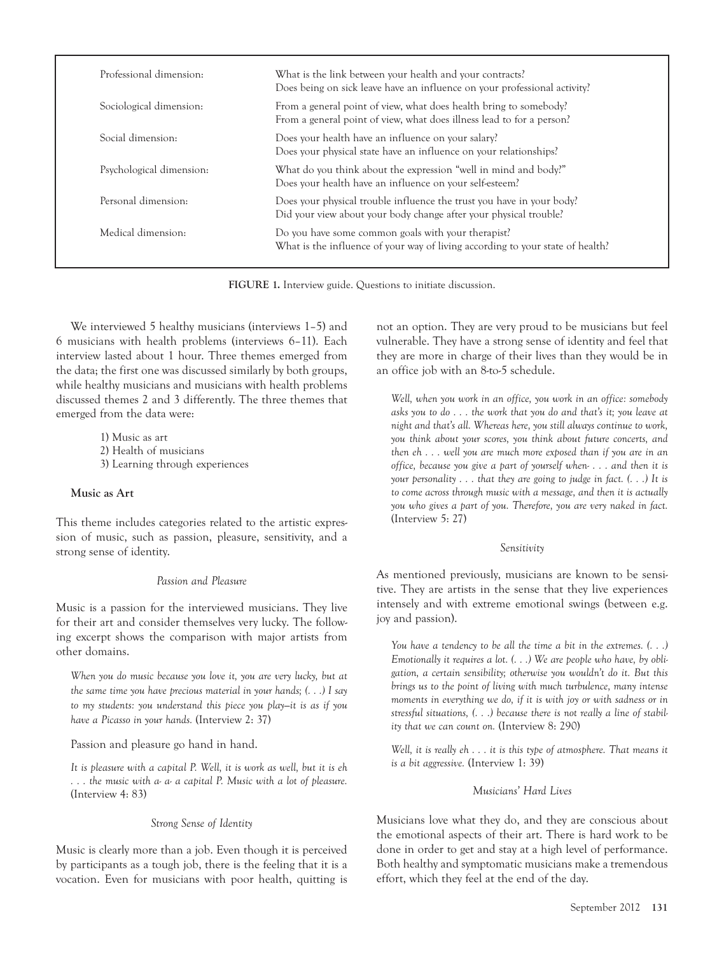| Professional dimension:  | What is the link between your health and your contracts?<br>Does being on sick leave have an influence on your professional activity?      |  |  |
|--------------------------|--------------------------------------------------------------------------------------------------------------------------------------------|--|--|
| Sociological dimension:  | From a general point of view, what does health bring to somebody?<br>From a general point of view, what does illness lead to for a person? |  |  |
| Social dimension:        | Does your health have an influence on your salary?<br>Does your physical state have an influence on your relationships?                    |  |  |
| Psychological dimension: | What do you think about the expression "well in mind and body?"<br>Does your health have an influence on your self-esteem?                 |  |  |
| Personal dimension:      | Does your physical trouble influence the trust you have in your body?<br>Did your view about your body change after your physical trouble? |  |  |
| Medical dimension:       | Do you have some common goals with your therapist?<br>What is the influence of your way of living according to your state of health?       |  |  |

**FIGURE 1.** Interview guide. Questions to initiate discussion.

We interviewed 5 healthy musicians (interviews 1–5) and 6 musicians with health problems (interviews 6–11). Each interview lasted about 1 hour. Three themes emerged from the data; the first one was discussed similarly by both groups, while healthy musicians and musicians with health problems discussed themes 2 and 3 differently. The three themes that emerged from the data were:

> 1) Music as art 2) Health of musicians 3) Learning through experiences

#### **Music as Art**

This theme includes categories related to the artistic expression of music, such as passion, pleasure, sensitivity, and a strong sense of identity.

# *Passion and Pleasure*

Music is a passion for the interviewed musicians. They live for their art and consider themselves very lucky. The following excerpt shows the comparison with major artists from other domains.

*When you do music because you love it, you are very lucky, but at the same time you have precious material in your hands; (. . .) I say to my students: you understand this piece you play—it is as if you have a Picasso in your hands.* (Interview 2: 37)

Passion and pleasure go hand in hand.

*It is pleasure with a capital P. Well, it is work as well, but it is eh . . . the music with a- a- a capital P. Music with a lot of pleasure.* (Interview 4: 83)

# *Strong Sense of Identity*

Music is clearly more than a job. Even though it is perceived by participants as a tough job, there is the feeling that it is a vocation. Even for musicians with poor health, quitting is not an option. They are very proud to be musicians but feel vulnerable. They have a strong sense of identity and feel that they are more in charge of their lives than they would be in an office job with an 8-to-5 schedule.

*Well, when you work in an office, you work in an office: somebody asks you to do . . . the work that you do and that's it; you leave at night and that's all. Whereas here, you still always continue to work, you think about your scores, you think about future concerts, and then eh . . . well you are much more exposed than if you are in an office, because you give a part of yourself when- . . . and then it is your personality . . . that they are going to judge in fact. (. . .) It is to come across through music with a message, and then it is actually you who gives a part of you. Therefore, you are very naked in fact.* (Interview 5: 27)

# *Sensitivity*

As mentioned previously, musicians are known to be sensitive. They are artists in the sense that they live experiences intensely and with extreme emotional swings (between e.g. joy and passion).

*You have a tendency to be all the time a bit in the extremes. (. . .) Emotionally it requires a lot. (. . .) We are people who have, by obligation, a certain sensibility; otherwise you wouldn't do it. But this brings us to the point of living with much turbulence, many intense moments in everything we do, if it is with joy or with sadness or in stressful situations, (. . .) because there is not really a line of stability that we can count on.* (Interview 8: 290)

*Well, it is really eh . . . it is this type of atmosphere. That means it is a bit aggressive.* (Interview 1: 39)

# *Musicians' Hard Lives*

Musicians love what they do, and they are conscious about the emotional aspects of their art. There is hard work to be done in order to get and stay at a high level of performance. Both healthy and symptomatic musicians make a tremendous effort, which they feel at the end of the day.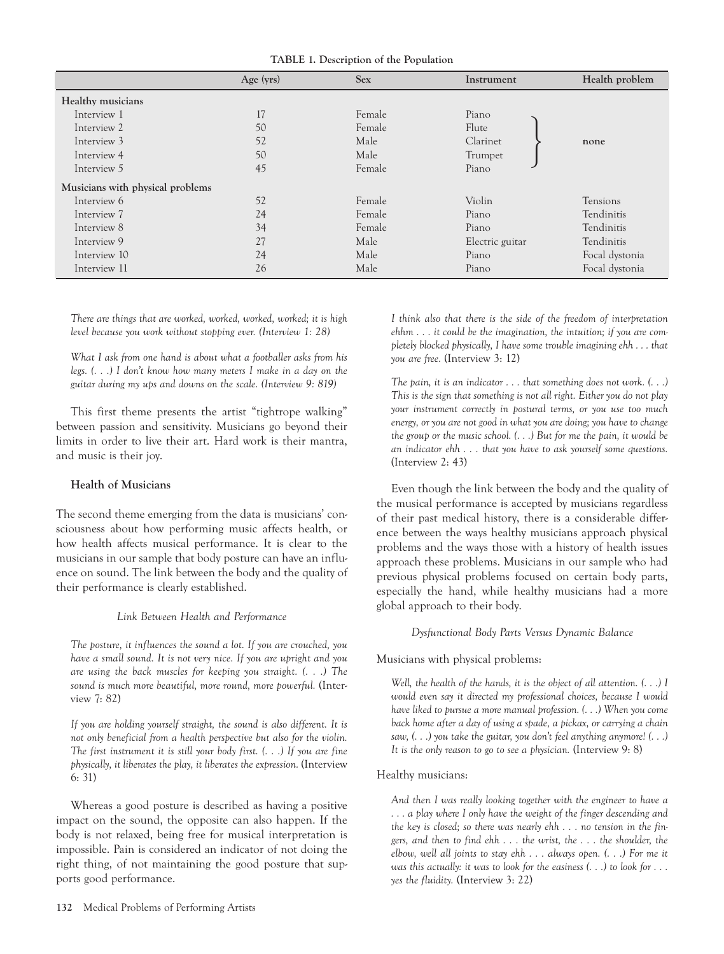**TABLE 1. Description of the Population**

|                                  | Age $(yrs)$ | <b>Sex</b> | Instrument      | Health problem |
|----------------------------------|-------------|------------|-----------------|----------------|
| Healthy musicians                |             |            |                 |                |
| Interview 1                      | 17          | Female     | Piano           |                |
| Interview 2                      | 50          | Female     | Flute           |                |
| Interview 3                      | 52          | Male       | Clarinet        | none           |
| Interview 4                      | 50          | Male       | Trumpet         |                |
| Interview 5                      | 45          | Female     | Piano           |                |
| Musicians with physical problems |             |            |                 |                |
| Interview 6                      | 52          | Female     | Violin          | Tensions       |
| Interview 7                      | 24          | Female     | Piano           | Tendinitis     |
| Interview 8                      | 34          | Female     | Piano           | Tendinitis     |
| Interview 9                      | 27          | Male       | Electric guitar | Tendinitis     |
| Interview 10                     | 24          | Male       | Piano           | Focal dystonia |
| Interview 11                     | 26          | Male       | Piano           | Focal dystonia |

*There are things that are worked, worked, worked, worked; it is high level because you work without stopping ever. (Interview 1: 28)*

*What I ask from one hand is about what a footballer asks from his legs. (. . .) I don't know how many meters I make in a day on the guitar during my ups and downs on the scale. (Interview 9: 819)*

This first theme presents the artist "tightrope walking" between passion and sensitivity. Musicians go beyond their limits in order to live their art. Hard work is their mantra, and music is their joy.

#### **Health of Musicians**

The second theme emerging from the data is musicians' consciousness about how performing music affects health, or how health affects musical performance. It is clear to the musicians in our sample that body posture can have an influence on sound. The link between the body and the quality of their performance is clearly established.

#### *Link Between Health and Performance*

*The posture, it influences the sound a lot. If you are crouched, you have a small sound. It is not very nice. If you are upright and you are using the back muscles for keeping you straight. (. . .) The sound is much more beautiful, more round, more powerful.* (Interview 7: 82)

*If you are holding yourself straight, the sound is also different. It is not only beneficial from a health perspective but also for the violin. The first instrument it is still your body first. (. . .) If you are fine physically, it liberates the play, it liberates the expression.* (Interview 6: 31)

Whereas a good posture is described as having a positive impact on the sound, the opposite can also happen. If the body is not relaxed, being free for musical interpretation is impossible. Pain is considered an indicator of not doing the right thing, of not maintaining the good posture that supports good performance.

previous physical problems focused on certain body parts, especially the hand, while healthy musicians had a more global approach to their body.

#### *Dysfunctional Body Parts Versus Dynamic Balance*

# Musicians with physical problems:

*Well, the health of the hands, it is the object of all attention. (. . .) I would even say it directed my professional choices, because I would have liked to pursue a more manual profession. (. . .) When you come back home after a day of using a spade, a pickax, or carrying a chain saw, (. . .) you take the guitar, you don't feel anything anymore! (. . .) It is the only reason to go to see a physician.* (Interview 9: 8)

#### Healthy musicians:

*And then I was really looking together with the engineer to have a . . . a play where I only have the weight of the finger descending and the key is closed; so there was nearly ehh . . . no tension in the fingers, and then to find ehh . . . the wrist, the . . . the shoulder, the elbow, well all joints to stay ehh . . . always open. (. . .) For me it was this actually: it was to look for the easiness (. . .) to look for . . . yes the fluidity.* (Interview 3: 22)

*I think also that there is the side of the freedom of interpretation ehhm . . . it could be the imagination, the intuition; if you are completely blocked physically, I have some trouble imagining ehh . . . that you are free.* (Interview 3: 12)

*The pain, it is an indicator . . . that something does not work. (. . .) This is the sign that something is not all right. Either you do not play your instrument correctly in postural terms, or you use too much energy, or you are not good in what you are doing; you have to change the group or the music school. (. . .) But for me the pain, it would be an indicator ehh . . . that you have to ask yourself some questions.* (Interview 2: 43)

Even though the link between the body and the quality of the musical performance is accepted by musicians regardless of their past medical history, there is a considerable difference between the ways healthy musicians approach physical problems and the ways those with a history of health issues approach these problems. Musicians in our sample who had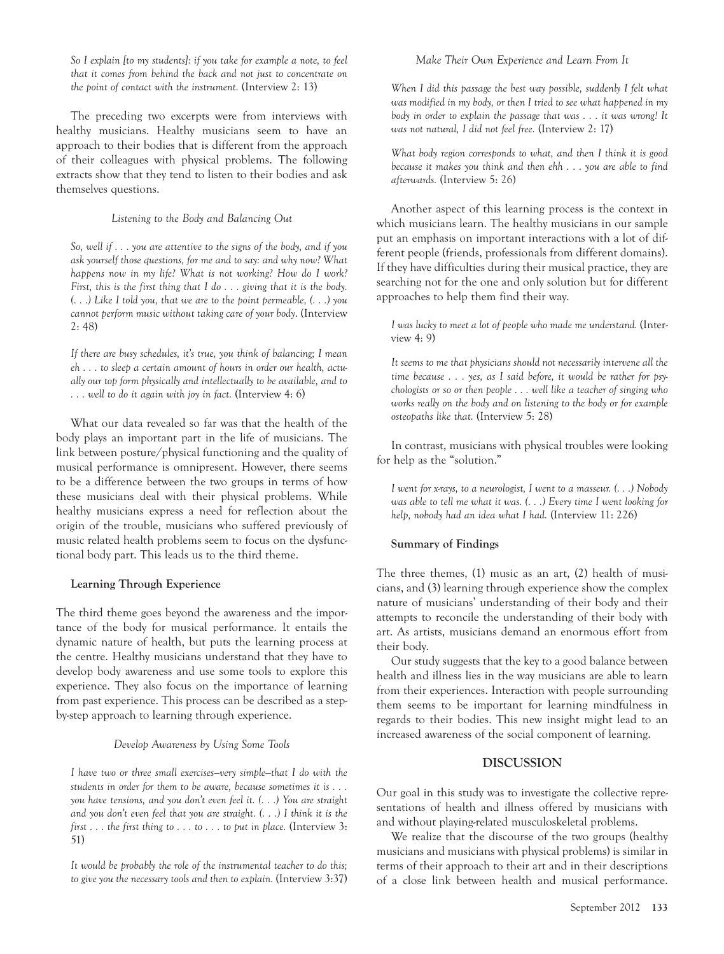*So I explain [to my students]: if you take for example a note, to feel that it comes from behind the back and not just to concentrate on the point of contact with the instrument.* (Interview 2: 13)

The preceding two excerpts were from interviews with healthy musicians. Healthy musicians seem to have an approach to their bodies that is different from the approach of their colleagues with physical problems. The following extracts show that they tend to listen to their bodies and ask themselves questions.

#### *Listening to the Body and Balancing Out*

*So, well if . . . you are attentive to the signs of the body, and if you ask yourself those questions, for me and to say: and why now? What happens now in my life? What is not working? How do I work? First, this is the first thing that I do . . . giving that it is the body. (. . .) Like I told you, that we are to the point permeable, (. . .) you cannot perform music without taking care of your body*. (Interview 2: 48)

*If there are busy schedules, it's true, you think of balancing; I mean eh . . . to sleep a certain amount of hours in order our health, actually our top form physically and intellectually to be available, and to . . . well to do it again with joy in fact.* (Interview 4: 6)

What our data revealed so far was that the health of the body plays an important part in the life of musicians. The link between posture/physical functioning and the quality of musical performance is omnipresent. However, there seems to be a difference between the two groups in terms of how these musicians deal with their physical problems. While healthy musicians express a need for reflection about the origin of the trouble, musicians who suffered previously of music related health problems seem to focus on the dysfunctional body part. This leads us to the third theme.

#### **Learning Through Experience**

The third theme goes beyond the awareness and the importance of the body for musical performance. It entails the dynamic nature of health, but puts the learning process at the centre. Healthy musicians understand that they have to develop body awareness and use some tools to explore this experience. They also focus on the importance of learning from past experience. This process can be described as a stepby-step approach to learning through experience.

#### *Develop Awareness by Using Some Tools*

*I have two or three small exercises—very simple—that I do with the students in order for them to be aware, because sometimes it is . . . you have tensions, and you don't even feel it. (. . .) You are straight and you don't even feel that you are straight. (. . .) I think it is the first . . . the first thing to . . . to . . . to put in place.* (Interview 3: 51)

*It would be probably the role of the instrumental teacher to do this; to give you the necessary tools and then to explain.* (Interview 3:37)

#### *Make Their Own Experience and Learn From It*

*When I did this passage the best way possible, suddenly I felt what was modified in my body, or then I tried to see what happened in my body in order to explain the passage that was . . . it was wrong! It was not natural, I did not feel free.* (Interview 2: 17)

*What body region corresponds to what, and then I think it is good because it makes you think and then ehh . . . you are able to find afterwards.* (Interview 5: 26)

Another aspect of this learning process is the context in which musicians learn. The healthy musicians in our sample put an emphasis on important interactions with a lot of different people (friends, professionals from different domains). If they have difficulties during their musical practice, they are searching not for the one and only solution but for different approaches to help them find their way.

*I was lucky to meet a lot of people who made me understand.* (Interview 4: 9)

*It seems to me that physicians should not necessarily intervene all the time because . . . yes, as I said before, it would be rather for psychologists or so or then people . . . well like a teacher of singing who works really on the body and on listening to the body or for example osteopaths like that.* (Interview 5: 28)

In contrast, musicians with physical troubles were looking for help as the "solution."

*I went for x-rays, to a neurologist, I went to a masseur. (. . .) Nobody was able to tell me what it was. (. . .) Every time I went looking for help, nobody had an idea what I had.* (Interview 11: 226)

#### **Summary of Findings**

The three themes, (1) music as an art, (2) health of musicians, and (3) learning through experience show the complex nature of musicians' understanding of their body and their attempts to reconcile the understanding of their body with art. As artists, musicians demand an enormous effort from their body.

Our study suggests that the key to a good balance between health and illness lies in the way musicians are able to learn from their experiences. Interaction with people surrounding them seems to be important for learning mindfulness in regards to their bodies. This new insight might lead to an increased awareness of the social component of learning.

## **DISCUSSION**

Our goal in this study was to investigate the collective representations of health and illness offered by musicians with and without playing-related musculoskeletal problems.

We realize that the discourse of the two groups (healthy musicians and musicians with physical problems) is similar in terms of their approach to their art and in their descriptions of a close link between health and musical performance.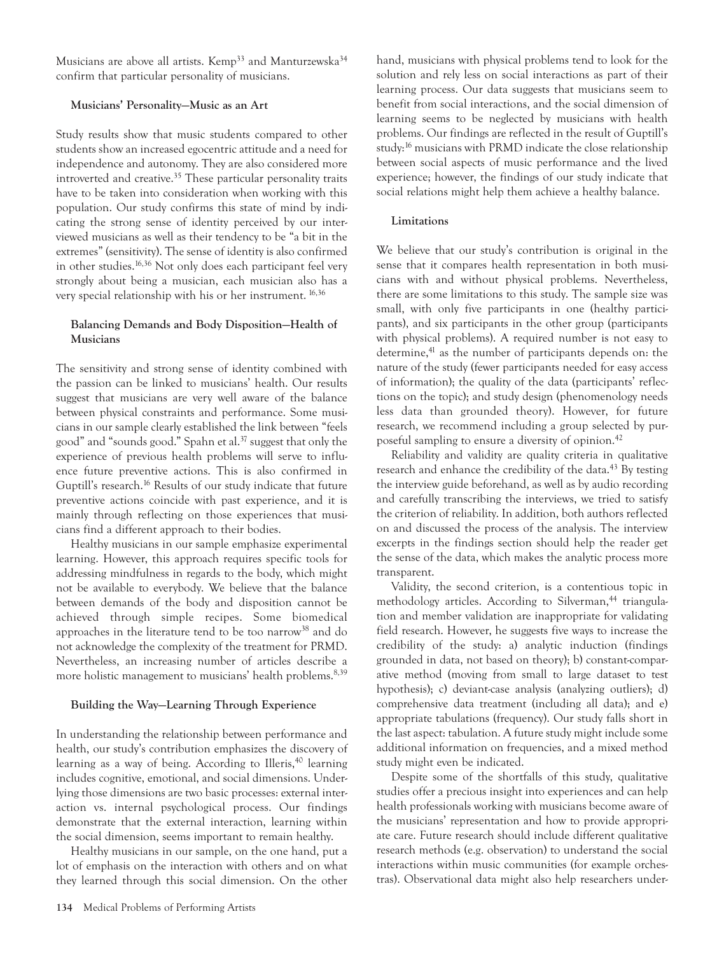Musicians are above all artists. Kemp<sup>33</sup> and Manturzewska<sup>34</sup> confirm that particular personality of musicians.

#### **Musicians' Personality—Music as an Art**

Study results show that music students compared to other students show an increased egocentric attitude and a need for independence and autonomy. They are also considered more introverted and creative.<sup>35</sup> These particular personality traits have to be taken into consideration when working with this population. Our study confirms this state of mind by indicating the strong sense of identity perceived by our interviewed musicians as well as their tendency to be "a bit in the extremes" (sensitivity). The sense of identity is also confirmed in other studies.<sup>16,36</sup> Not only does each participant feel very strongly about being a musician, each musician also has a very special relationship with his or her instrument.<sup>16,36</sup>

# **Balancing Demands and Body Disposition—Health of Musicians**

The sensitivity and strong sense of identity combined with the passion can be linked to musicians' health. Our results suggest that musicians are very well aware of the balance between physical constraints and performance. Some musicians in our sample clearly established the link between "feels good" and "sounds good." Spahn et al.<sup>37</sup> suggest that only the experience of previous health problems will serve to influence future preventive actions. This is also confirmed in Guptill's research.<sup>16</sup> Results of our study indicate that future preventive actions coincide with past experience, and it is mainly through reflecting on those experiences that musicians find a different approach to their bodies.

Healthy musicians in our sample emphasize experimental learning. However, this approach requires specific tools for addressing mindfulness in regards to the body, which might not be available to everybody. We believe that the balance between demands of the body and disposition cannot be achieved through simple recipes. Some biomedical approaches in the literature tend to be too narrow<sup>38</sup> and do not acknowledge the complexity of the treatment for PRMD. Nevertheless, an increasing number of articles describe a more holistic management to musicians' health problems.<sup>8,39</sup>

# **Building the Way—Learning Through Experience**

In understanding the relationship between performance and health, our study's contribution emphasizes the discovery of learning as a way of being. According to Illeris,<sup>40</sup> learning includes cognitive, emotional, and social dimensions. Underlying those dimensions are two basic processes: external interaction vs. internal psychological process. Our findings demonstrate that the external interaction, learning within the social dimension, seems important to remain healthy.

Healthy musicians in our sample, on the one hand, put a lot of emphasis on the interaction with others and on what they learned through this social dimension. On the other hand, musicians with physical problems tend to look for the solution and rely less on social interactions as part of their learning process. Our data suggests that musicians seem to benefit from social interactions, and the social dimension of learning seems to be neglected by musicians with health problems. Our findings are reflected in the result of Guptill's study:<sup>16</sup> musicians with PRMD indicate the close relationship between social aspects of music performance and the lived experience; however, the findings of our study indicate that social relations might help them achieve a healthy balance.

## **Limitations**

We believe that our study's contribution is original in the sense that it compares health representation in both musicians with and without physical problems. Nevertheless, there are some limitations to this study. The sample size was small, with only five participants in one (healthy participants), and six participants in the other group (participants with physical problems). A required number is not easy to determine,<sup>41</sup> as the number of participants depends on: the nature of the study (fewer participants needed for easy access of information); the quality of the data (participants' reflections on the topic); and study design (phenomenology needs less data than grounded theory). However, for future research, we recommend including a group selected by purposeful sampling to ensure a diversity of opinion.42

Reliability and validity are quality criteria in qualitative research and enhance the credibility of the data.<sup>43</sup> By testing the interview guide beforehand, as well as by audio recording and carefully transcribing the interviews, we tried to satisfy the criterion of reliability. In addition, both authors reflected on and discussed the process of the analysis. The interview excerpts in the findings section should help the reader get the sense of the data, which makes the analytic process more transparent.

Validity, the second criterion, is a contentious topic in methodology articles. According to Silverman,<sup>44</sup> triangulation and member validation are inappropriate for validating field research. However, he suggests five ways to increase the credibility of the study: a) analytic induction (findings grounded in data, not based on theory); b) constant-comparative method (moving from small to large dataset to test hypothesis); c) deviant-case analysis (analyzing outliers); d) comprehensive data treatment (including all data); and e) appropriate tabulations (frequency). Our study falls short in the last aspect: tabulation. A future study might include some additional information on frequencies, and a mixed method study might even be indicated.

Despite some of the shortfalls of this study, qualitative studies offer a precious insight into experiences and can help health professionals working with musicians become aware of the musicians' representation and how to provide appropriate care. Future research should include different qualitative research methods (e.g. observation) to understand the social interactions within music communities (for example orchestras). Observational data might also help researchers under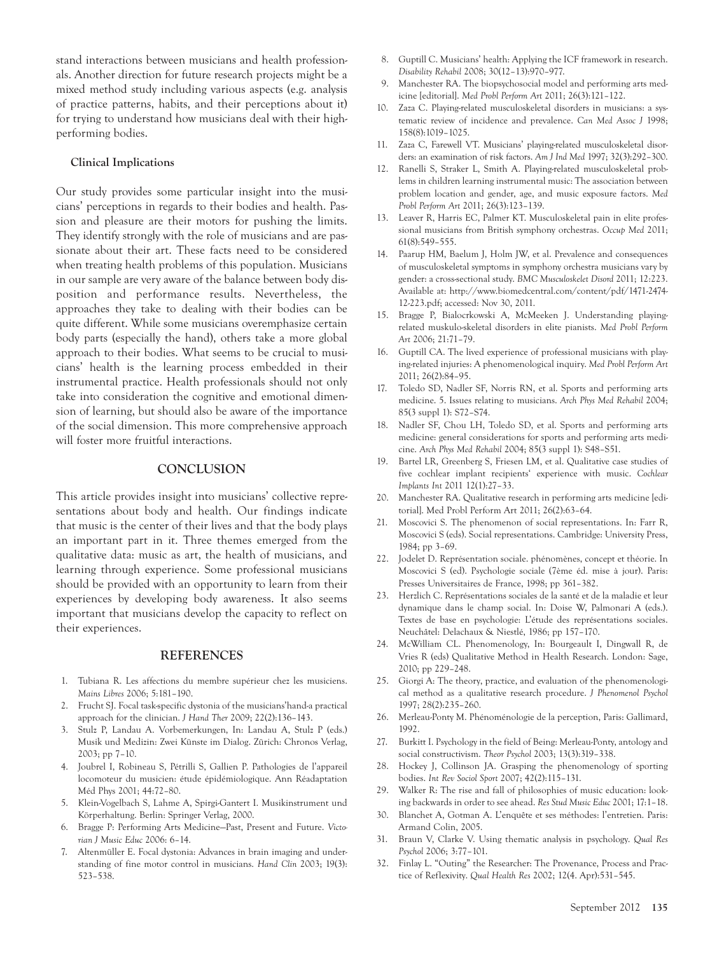stand interactions between musicians and health professionals. Another direction for future research projects might be a mixed method study including various aspects (e.g. analysis of practice patterns, habits, and their perceptions about it) for trying to understand how musicians deal with their highperforming bodies.

#### **Clinical Implications**

Our study provides some particular insight into the musicians' perceptions in regards to their bodies and health. Passion and pleasure are their motors for pushing the limits. They identify strongly with the role of musicians and are passionate about their art. These facts need to be considered when treating health problems of this population. Musicians in our sample are very aware of the balance between body disposition and performance results. Nevertheless, the approaches they take to dealing with their bodies can be quite different. While some musicians overemphasize certain body parts (especially the hand), others take a more global approach to their bodies. What seems to be crucial to musicians' health is the learning process embedded in their instrumental practice. Health professionals should not only take into consideration the cognitive and emotional dimension of learning, but should also be aware of the importance of the social dimension. This more comprehensive approach will foster more fruitful interactions.

## **CONCLUSION**

This article provides insight into musicians' collective representations about body and health. Our findings indicate that music is the center of their lives and that the body plays an important part in it. Three themes emerged from the qualitative data: music as art, the health of musicians, and learning through experience. Some professional musicians should be provided with an opportunity to learn from their experiences by developing body awareness. It also seems important that musicians develop the capacity to reflect on their experiences.

## **REFERENCES**

- 1. Tubiana R. Les affections du membre supérieur chez les musiciens. *Mains Libres* 2006; 5:181–190.
- 2. Frucht SJ. Focal task-specific dystonia of the musicians'hand-a practical approach for the clinician. *J Hand Ther* 2009; 22(2):136–143.
- 3. Stulz P, Landau A. Vorbemerkungen, In: Landau A, Stulz P (eds.) Musik und Medizin: Zwei Künste im Dialog. Zürich: Chronos Verlag, 2003; pp 7–10.
- 4. Joubrel I, Robineau S, Pétrilli S, Gallien P. Pathologies de l'appareil locomoteur du musicien: étude épidémiologique. Ann Réadaptation Méd Phys 2001; 44:72–80.
- 5. Klein-Vogelbach S, Lahme A, Spirgi-Gantert I. Musikinstrument und Körperhaltung. Berlin: Springer Verlag, 2000.
- 6. Bragge P: Performing Arts Medicine—Past, Present and Future. *Victorian J Music Educ* 2006: 6–14.
- 7. Altenmüller E. Focal dystonia: Advances in brain imaging and understanding of fine motor control in musicians. *Hand Clin* 2003; 19(3): 523–538.
- 8. Guptill C. Musicians' health: Applying the ICF framework in research. *Disability Rehabil* 2008; 30(12–13):970–977.
- 9. Manchester RA. The biopsychosocial model and performing arts medicine [editorial]. *Med Probl Perform Art* 2011; 26(3):121–122.
- 10. Zaza C. Playing-related musculoskeletal disorders in musicians: a systematic review of incidence and prevalence. *Can Med Assoc J* 1998; 158(8):1019–1025.
- 11. Zaza C, Farewell VT. Musicians' playing-related musculoskeletal disorders: an examination of risk factors. *Am J Ind Med* 1997; 32(3):292–300.
- 12. Ranelli S, Straker L, Smith A. Playing-related musculoskeletal problems in children learning instrumental music: The association between problem location and gender, age, and music exposure factors. *Med Probl Perform Art* 2011; 26(3):123–139.
- 13. Leaver R, Harris EC, Palmer KT. Musculoskeletal pain in elite professional musicians from British symphony orchestras. *Occup Med* 2011; 61(8):549–555.
- 14. Paarup HM, Baelum J, Holm JW, et al. Prevalence and consequences of musculoskeletal symptoms in symphony orchestra musicians vary by gender: a cross-sectional study. *BMC Musculoskelet Disord* 2011; 12:223. Available at: http://www.biomedcentral.com/content/pdf/1471-2474- 12-223.pdf; accessed: Nov 30, 2011.
- 15. Bragge P, Bialocrkowski A, McMeeken J. Understanding playingrelated muskulo-skeletal disorders in elite pianists. *Med Probl Perform Art* 2006; 21:71–79.
- 16. Guptill CA. The lived experience of professional musicians with playing-related injuries: A phenomenological inquiry. *Med Probl Perform Art* 2011; 26(2):84–95.
- 17. Toledo SD, Nadler SF, Norris RN, et al. Sports and performing arts medicine. 5. Issues relating to musicians. *Arch Phys Med Rehabil* 2004; 85(3 suppl 1): S72–S74.
- 18. Nadler SF, Chou LH, Toledo SD, et al. Sports and performing arts medicine: general considerations for sports and performing arts medicine. *Arch Phys Med Rehabil* 2004; 85(3 suppl 1): S48–S51.
- 19. Bartel LR, Greenberg S, Friesen LM, et al. Qualitative case studies of five cochlear implant recipients' experience with music. *Cochlear Implants Int* 2011 12(1):27–33.
- 20. Manchester RA. Qualitative research in performing arts medicine [editorial]. Med Probl Perform Art 2011; 26(2):63–64.
- 21. Moscovici S. The phenomenon of social representations. In: Farr R, Moscovici S (eds). Social representations. Cambridge: University Press, 1984; pp 3–69.
- 22. Jodelet D. Représentation sociale. phénomènes, concept et théorie. In Moscovici S (ed). Psychologie sociale (7ème éd. mise à jour). Paris: Presses Universitaires de France, 1998; pp 361–382.
- 23. Herzlich C. Représentations sociales de la santé et de la maladie et leur dynamique dans le champ social. In: Doise W, Palmonari A (eds.). Textes de base en psychologie: L'étude des représentations sociales. Neuchâtel: Delachaux & Niestlé, 1986; pp 157–170.
- 24. McWilliam CL. Phenomenology, In: Bourgeault I, Dingwall R, de Vries R (eds) Qualitative Method in Health Research. London: Sage, 2010; pp 229–248.
- 25. Giorgi A: The theory, practice, and evaluation of the phenomenological method as a qualitative research procedure. *J Phenomenol Psychol* 1997; 28(2):235–260.
- 26. Merleau-Ponty M. Phénoménologie de la perception, Paris: Gallimard, 1992.
- 27. Burkitt I. Psychology in the field of Being: Merleau-Ponty, antology and social constructivism. *Theor Psychol* 2003; 13(3):319–338.
- 28. Hockey J, Collinson JA. Grasping the phenomenology of sporting bodies. *Int Rev Sociol Sport* 2007; 42(2):115–131.
- 29. Walker R: The rise and fall of philosophies of music education: looking backwards in order to see ahead. *Res Stud Music Educ* 2001; 17:1–18.
- 30. Blanchet A, Gotman A. L'enquête et ses méthodes: l'entretien. Paris: Armand Colin, 2005.
- 31. Braun V, Clarke V. Using thematic analysis in psychology. *Qual Res Psychol* 2006; 3:77–101.
- 32. Finlay L. "Outing" the Researcher: The Provenance, Process and Practice of Reflexivity. *Qual Health Res* 2002; 12(4. Apr):531–545.